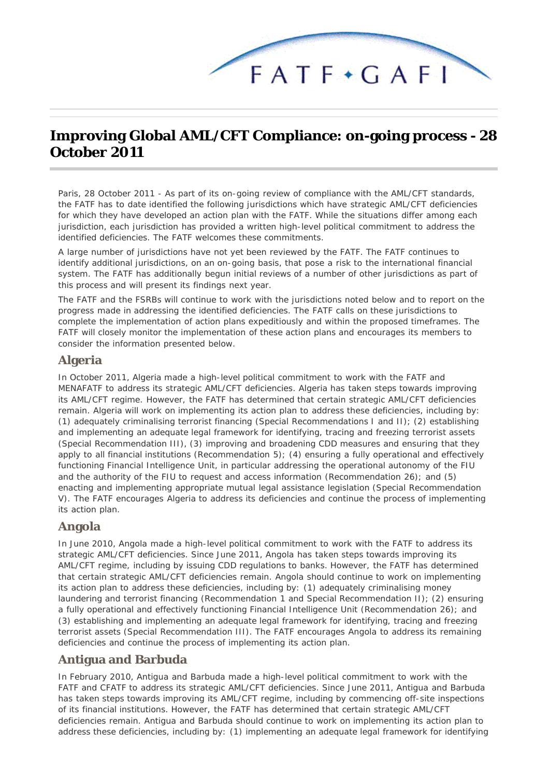

# **Improving Global AML/CFT Compliance: on-going process - 28 October 2011**

*Paris, 28 October 2011* - As part of its on-going review of compliance with the AML/CFT standards, the FATF has to date identified the following jurisdictions which have strategic AML/CFT deficiencies for which they have developed an action plan with the FATF. While the situations differ among each jurisdiction, each jurisdiction has provided a written high-level political commitment to address the identified deficiencies. The FATF welcomes these commitments.

A large number of jurisdictions have not yet been reviewed by the FATF. The FATF continues to identify additional jurisdictions, on an on-going basis, that pose a risk to the international financial system. The FATF has additionally begun initial reviews of a number of other jurisdictions as part of this process and will present its findings next year.

The FATF and the FSRBs will continue to work with the jurisdictions noted below and to report on the progress made in addressing the identified deficiencies. The FATF calls on these jurisdictions to complete the implementation of action plans expeditiously and within the proposed timeframes. The FATF will closely monitor the implementation of these action plans and encourages its members to consider the information presented below.

## **Algeria**

In October 2011, Algeria made a high-level political commitment to work with the FATF and MENAFATF to address its strategic AML/CFT deficiencies. Algeria has taken steps towards improving its AML/CFT regime. However, the FATF has determined that certain strategic AML/CFT deficiencies remain. Algeria will work on implementing its action plan to address these deficiencies, including by: (1) adequately criminalising terrorist financing (Special Recommendations I and II); (2) establishing and implementing an adequate legal framework for identifying, tracing and freezing terrorist assets (Special Recommendation III), (3) improving and broadening CDD measures and ensuring that they apply to all financial institutions (Recommendation 5); (4) ensuring a fully operational and effectively functioning Financial Intelligence Unit, in particular addressing the operational autonomy of the FIU and the authority of the FIU to request and access information (Recommendation 26); and (5) enacting and implementing appropriate mutual legal assistance legislation (Special Recommendation V). The FATF encourages Algeria to address its deficiencies and continue the process of implementing its action plan.

## **Angola**

In June 2010, Angola made a high-level political commitment to work with the FATF to address its strategic AML/CFT deficiencies. Since June 2011, Angola has taken steps towards improving its AML/CFT regime, including by issuing CDD regulations to banks. However, the FATF has determined that certain strategic AML/CFT deficiencies remain. Angola should continue to work on implementing its action plan to address these deficiencies, including by: (1) adequately criminalising money laundering and terrorist financing (Recommendation 1 and Special Recommendation II); (2) ensuring a fully operational and effectively functioning Financial Intelligence Unit (Recommendation 26); and (3) establishing and implementing an adequate legal framework for identifying, tracing and freezing terrorist assets (Special Recommendation III). The FATF encourages Angola to address its remaining deficiencies and continue the process of implementing its action plan.

## **Antigua and Barbuda**

In February 2010, Antigua and Barbuda made a high-level political commitment to work with the FATF and CFATF to address its strategic AML/CFT deficiencies. Since June 2011, Antigua and Barbuda has taken steps towards improving its AML/CFT regime, including by commencing off-site inspections of its financial institutions. However, the FATF has determined that certain strategic AML/CFT deficiencies remain. Antigua and Barbuda should continue to work on implementing its action plan to address these deficiencies, including by: (1) implementing an adequate legal framework for identifying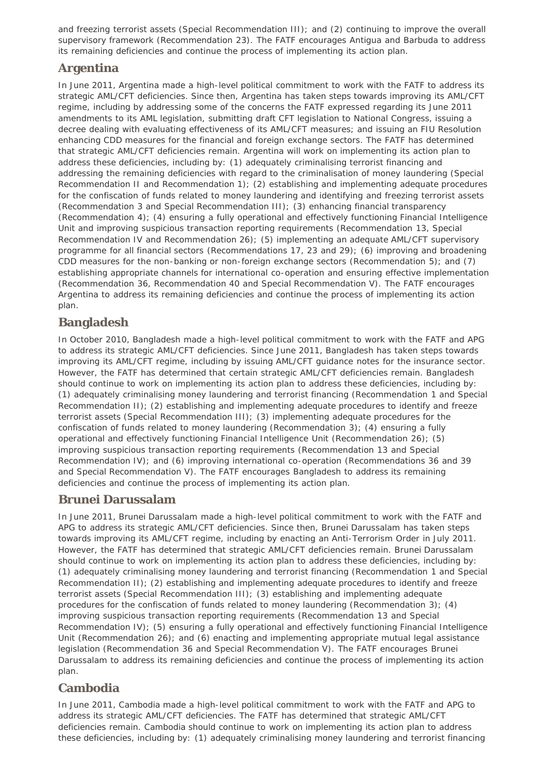and freezing terrorist assets (Special Recommendation III); and (2) continuing to improve the overall supervisory framework (Recommendation 23). The FATF encourages Antigua and Barbuda to address its remaining deficiencies and continue the process of implementing its action plan.

## **Argentina**

In June 2011, Argentina made a high-level political commitment to work with the FATF to address its strategic AML/CFT deficiencies. Since then, Argentina has taken steps towards improving its AML/CFT regime, including by addressing some of the concerns the FATF expressed regarding its June 2011 amendments to its AML legislation, submitting draft CFT legislation to National Congress, issuing a decree dealing with evaluating effectiveness of its AML/CFT measures; and issuing an FIU Resolution enhancing CDD measures for the financial and foreign exchange sectors. The FATF has determined that strategic AML/CFT deficiencies remain. Argentina will work on implementing its action plan to address these deficiencies, including by: (1) adequately criminalising terrorist financing and addressing the remaining deficiencies with regard to the criminalisation of money laundering (Special Recommendation II and Recommendation 1); (2) establishing and implementing adequate procedures for the confiscation of funds related to money laundering and identifying and freezing terrorist assets (Recommendation 3 and Special Recommendation III); (3) enhancing financial transparency (Recommendation 4); (4) ensuring a fully operational and effectively functioning Financial Intelligence Unit and improving suspicious transaction reporting requirements (Recommendation 13, Special Recommendation IV and Recommendation 26); (5) implementing an adequate AML/CFT supervisory programme for all financial sectors (Recommendations 17, 23 and 29); (6) improving and broadening CDD measures for the non-banking or non-foreign exchange sectors (Recommendation 5); and (7) establishing appropriate channels for international co-operation and ensuring effective implementation (Recommendation 36, Recommendation 40 and Special Recommendation V). The FATF encourages Argentina to address its remaining deficiencies and continue the process of implementing its action plan.

## **Bangladesh**

In October 2010, Bangladesh made a high-level political commitment to work with the FATF and APG to address its strategic AML/CFT deficiencies. Since June 2011, Bangladesh has taken steps towards improving its AML/CFT regime, including by issuing AML/CFT guidance notes for the insurance sector. However, the FATF has determined that certain strategic AML/CFT deficiencies remain. Bangladesh should continue to work on implementing its action plan to address these deficiencies, including by: (1) adequately criminalising money laundering and terrorist financing (Recommendation 1 and Special Recommendation II); (2) establishing and implementing adequate procedures to identify and freeze terrorist assets (Special Recommendation III); (3) implementing adequate procedures for the confiscation of funds related to money laundering (Recommendation 3); (4) ensuring a fully operational and effectively functioning Financial Intelligence Unit (Recommendation 26); (5) improving suspicious transaction reporting requirements (Recommendation 13 and Special Recommendation IV); and (6) improving international co-operation (Recommendations 36 and 39 and Special Recommendation V). The FATF encourages Bangladesh to address its remaining deficiencies and continue the process of implementing its action plan.

#### **Brunei Darussalam**

In June 2011, Brunei Darussalam made a high-level political commitment to work with the FATF and APG to address its strategic AML/CFT deficiencies. Since then, Brunei Darussalam has taken steps towards improving its AML/CFT regime, including by enacting an Anti-Terrorism Order in July 2011. However, the FATF has determined that strategic AML/CFT deficiencies remain. Brunei Darussalam should continue to work on implementing its action plan to address these deficiencies, including by: (1) adequately criminalising money laundering and terrorist financing (Recommendation 1 and Special Recommendation II); (2) establishing and implementing adequate procedures to identify and freeze terrorist assets (Special Recommendation III); (3) establishing and implementing adequate procedures for the confiscation of funds related to money laundering (Recommendation 3); (4) improving suspicious transaction reporting requirements (Recommendation 13 and Special Recommendation IV); (5) ensuring a fully operational and effectively functioning Financial Intelligence Unit (Recommendation 26); and (6) enacting and implementing appropriate mutual legal assistance legislation (Recommendation 36 and Special Recommendation V). The FATF encourages Brunei Darussalam to address its remaining deficiencies and continue the process of implementing its action plan.

## **Cambodia**

In June 2011, Cambodia made a high-level political commitment to work with the FATF and APG to address its strategic AML/CFT deficiencies. The FATF has determined that strategic AML/CFT deficiencies remain. Cambodia should continue to work on implementing its action plan to address these deficiencies, including by: (1) adequately criminalising money laundering and terrorist financing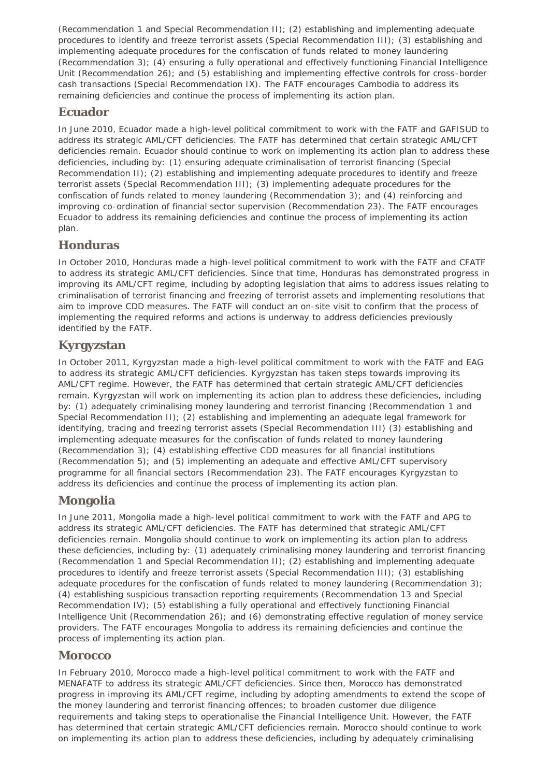(Recommendation 1 and Special Recommendation II); (2) establishing and implementing adequate procedures to identify and freeze terrorist assets (Special Recommendation III); (3) establishing and implementing adequate procedures for the confiscation of funds related to money laundering (Recommendation 3); (4) ensuring a fully operational and effectively functioning Financial Intelligence Unit (Recommendation 26); and (5) establishing and implementing effective controls for cross-border cash transactions (Special Recommendation IX). The FATF encourages Cambodia to address its remaining deficiencies and continue the process of implementing its action plan.

#### **Ecuador**

In June 2010, Ecuador made a high-level political commitment to work with the FATF and GAFISUD to address its strategic AML/CFT deficiencies. The FATF has determined that certain strategic AML/CFT deficiencies remain. Ecuador should continue to work on implementing its action plan to address these deficiencies, including by: (1) ensuring adequate criminalisation of terrorist financing (Special Recommendation II); (2) establishing and implementing adequate procedures to identify and freeze terrorist assets (Special Recommendation III); (3) implementing adequate procedures for the confiscation of funds related to money laundering (Recommendation 3); and (4) reinforcing and improving co-ordination of financial sector supervision (Recommendation 23). The FATF encourages Ecuador to address its remaining deficiencies and continue the process of implementing its action plan.

## **Honduras**

In October 2010, Honduras made a high-level political commitment to work with the FATF and CFATF to address its strategic AML/CFT deficiencies. Since that time, Honduras has demonstrated progress in improving its AML/CFT regime, including by adopting legislation that aims to address issues relating to criminalisation of terrorist financing and freezing of terrorist assets and implementing resolutions that aim to improve CDD measures. The FATF will conduct an on-site visit to confirm that the process of implementing the required reforms and actions is underway to address deficiencies previously identified by the FATF.

## **Kyrgyzstan**

In October 2011, Kyrgyzstan made a high-level political commitment to work with the FATF and EAG to address its strategic AML/CFT deficiencies. Kyrgyzstan has taken steps towards improving its AML/CFT regime. However, the FATF has determined that certain strategic AML/CFT deficiencies remain. Kyrgyzstan will work on implementing its action plan to address these deficiencies, including by: (1) adequately criminalising money laundering and terrorist financing (Recommendation 1 and Special Recommendation II); (2) establishing and implementing an adequate legal framework for identifying, tracing and freezing terrorist assets (Special Recommendation III) (3) establishing and implementing adequate measures for the confiscation of funds related to money laundering (Recommendation 3); (4) establishing effective CDD measures for all financial institutions (Recommendation 5); and (5) implementing an adequate and effective AML/CFT supervisory programme for all financial sectors (Recommendation 23). The FATF encourages Kyrgyzstan to address its deficiencies and continue the process of implementing its action plan.

## **Mongolia**

In June 2011, Mongolia made a high-level political commitment to work with the FATF and APG to address its strategic AML/CFT deficiencies. The FATF has determined that strategic AML/CFT deficiencies remain. Mongolia should continue to work on implementing its action plan to address these deficiencies, including by: (1) adequately criminalising money laundering and terrorist financing (Recommendation 1 and Special Recommendation II); (2) establishing and implementing adequate procedures to identify and freeze terrorist assets (Special Recommendation III); (3) establishing adequate procedures for the confiscation of funds related to money laundering (Recommendation 3); (4) establishing suspicious transaction reporting requirements (Recommendation 13 and Special Recommendation IV); (5) establishing a fully operational and effectively functioning Financial Intelligence Unit (Recommendation 26); and (6) demonstrating effective regulation of money service providers. The FATF encourages Mongolia to address its remaining deficiencies and continue the process of implementing its action plan.

## **Morocco**

In February 2010, Morocco made a high-level political commitment to work with the FATF and MENAFATF to address its strategic AML/CFT deficiencies. Since then, Morocco has demonstrated progress in improving its AML/CFT regime, including by adopting amendments to extend the scope of the money laundering and terrorist financing offences; to broaden customer due diligence requirements and taking steps to operationalise the Financial Intelligence Unit. However, the FATF has determined that certain strategic AML/CFT deficiencies remain. Morocco should continue to work on implementing its action plan to address these deficiencies, including by adequately criminalising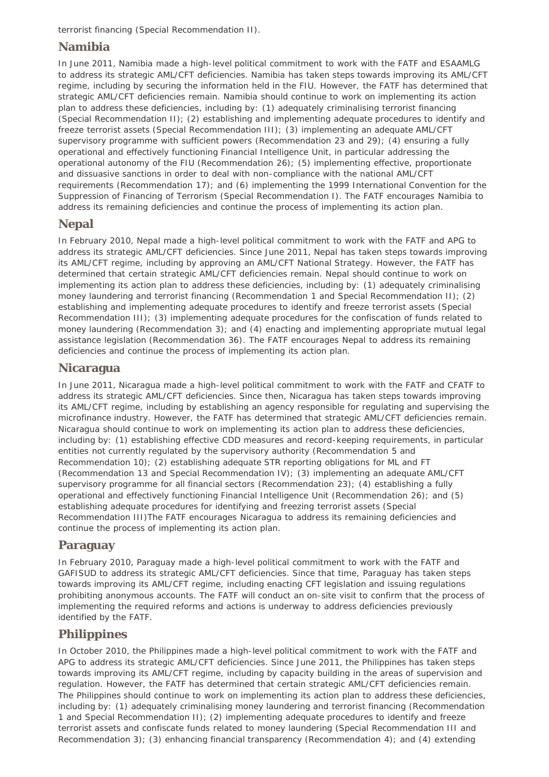terrorist financing (Special Recommendation II).

#### **Namibia**

In June 2011, Namibia made a high-level political commitment to work with the FATF and ESAAMLG to address its strategic AML/CFT deficiencies. Namibia has taken steps towards improving its AML/CFT regime, including by securing the information held in the FIU. However, the FATF has determined that strategic AML/CFT deficiencies remain. Namibia should continue to work on implementing its action plan to address these deficiencies, including by: (1) adequately criminalising terrorist financing (Special Recommendation II); (2) establishing and implementing adequate procedures to identify and freeze terrorist assets (Special Recommendation III); (3) implementing an adequate AML/CFT supervisory programme with sufficient powers (Recommendation 23 and 29); (4) ensuring a fully operational and effectively functioning Financial Intelligence Unit, in particular addressing the operational autonomy of the FIU (Recommendation 26); (5) implementing effective, proportionate and dissuasive sanctions in order to deal with non-compliance with the national AML/CFT requirements (Recommendation 17); and (6) implementing the 1999 International Convention for the Suppression of Financing of Terrorism (Special Recommendation I). The FATF encourages Namibia to address its remaining deficiencies and continue the process of implementing its action plan.

## **Nepal**

In February 2010, Nepal made a high-level political commitment to work with the FATF and APG to address its strategic AML/CFT deficiencies. Since June 2011, Nepal has taken steps towards improving its AML/CFT regime, including by approving an AML/CFT National Strategy. However, the FATF has determined that certain strategic AML/CFT deficiencies remain. Nepal should continue to work on implementing its action plan to address these deficiencies, including by: (1) adequately criminalising money laundering and terrorist financing (Recommendation 1 and Special Recommendation II); (2) establishing and implementing adequate procedures to identify and freeze terrorist assets (Special Recommendation III); (3) implementing adequate procedures for the confiscation of funds related to money laundering (Recommendation 3); and (4) enacting and implementing appropriate mutual legal assistance legislation (Recommendation 36). The FATF encourages Nepal to address its remaining deficiencies and continue the process of implementing its action plan.

#### **Nicaragua**

In June 2011, Nicaragua made a high-level political commitment to work with the FATF and CFATF to address its strategic AML/CFT deficiencies. Since then, Nicaragua has taken steps towards improving its AML/CFT regime, including by establishing an agency responsible for regulating and supervising the microfinance industry. However, the FATF has determined that strategic AML/CFT deficiencies remain. Nicaragua should continue to work on implementing its action plan to address these deficiencies, including by: (1) establishing effective CDD measures and record-keeping requirements, in particular entities not currently regulated by the supervisory authority (Recommendation 5 and Recommendation 10); (2) establishing adequate STR reporting obligations for ML and FT (Recommendation 13 and Special Recommendation IV); (3) implementing an adequate AML/CFT supervisory programme for all financial sectors (Recommendation 23); (4) establishing a fully operational and effectively functioning Financial Intelligence Unit (Recommendation 26); and (5) establishing adequate procedures for identifying and freezing terrorist assets (Special Recommendation III)The FATF encourages Nicaragua to address its remaining deficiencies and continue the process of implementing its action plan.

#### **Paraguay**

In February 2010, Paraguay made a high-level political commitment to work with the FATF and GAFISUD to address its strategic AML/CFT deficiencies. Since that time, Paraguay has taken steps towards improving its AML/CFT regime, including enacting CFT legislation and issuing regulations prohibiting anonymous accounts. The FATF will conduct an on-site visit to confirm that the process of implementing the required reforms and actions is underway to address deficiencies previously identified by the FATF.

#### **Philippines**

In October 2010, the Philippines made a high-level political commitment to work with the FATF and APG to address its strategic AML/CFT deficiencies. Since June 2011, the Philippines has taken steps towards improving its AML/CFT regime, including by capacity building in the areas of supervision and regulation. However, the FATF has determined that certain strategic AML/CFT deficiencies remain. The Philippines should continue to work on implementing its action plan to address these deficiencies, including by: (1) adequately criminalising money laundering and terrorist financing (Recommendation 1 and Special Recommendation II); (2) implementing adequate procedures to identify and freeze terrorist assets and confiscate funds related to money laundering (Special Recommendation III and Recommendation 3); (3) enhancing financial transparency (Recommendation 4); and (4) extending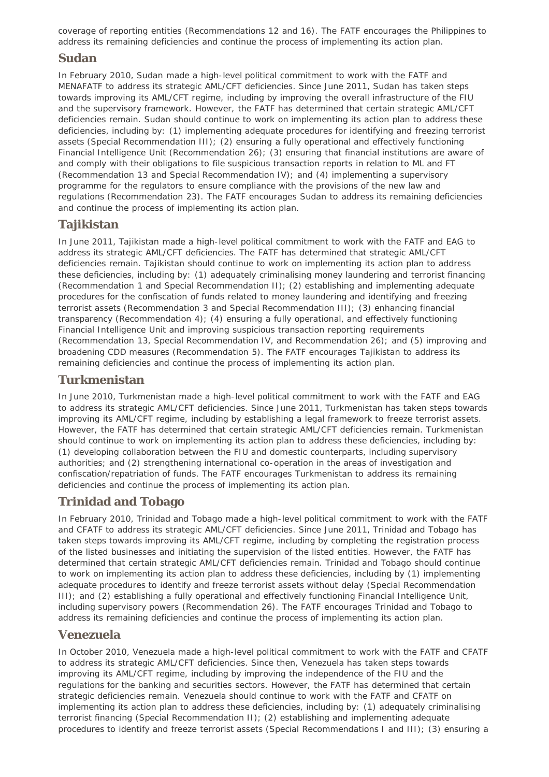coverage of reporting entities (Recommendations 12 and 16). The FATF encourages the Philippines to address its remaining deficiencies and continue the process of implementing its action plan.

#### **Sudan**

In February 2010, Sudan made a high-level political commitment to work with the FATF and MENAFATF to address its strategic AML/CFT deficiencies. Since June 2011, Sudan has taken steps towards improving its AML/CFT regime, including by improving the overall infrastructure of the FIU and the supervisory framework. However, the FATF has determined that certain strategic AML/CFT deficiencies remain. Sudan should continue to work on implementing its action plan to address these deficiencies, including by: (1) implementing adequate procedures for identifying and freezing terrorist assets (Special Recommendation III); (2) ensuring a fully operational and effectively functioning Financial Intelligence Unit (Recommendation 26); (3) ensuring that financial institutions are aware of and comply with their obligations to file suspicious transaction reports in relation to ML and FT (Recommendation 13 and Special Recommendation IV); and (4) implementing a supervisory programme for the regulators to ensure compliance with the provisions of the new law and regulations (Recommendation 23). The FATF encourages Sudan to address its remaining deficiencies and continue the process of implementing its action plan.

## **Tajikistan**

In June 2011, Tajikistan made a high-level political commitment to work with the FATF and EAG to address its strategic AML/CFT deficiencies. The FATF has determined that strategic AML/CFT deficiencies remain. Tajikistan should continue to work on implementing its action plan to address these deficiencies, including by: (1) adequately criminalising money laundering and terrorist financing (Recommendation 1 and Special Recommendation II); (2) establishing and implementing adequate procedures for the confiscation of funds related to money laundering and identifying and freezing terrorist assets (Recommendation 3 and Special Recommendation III); (3) enhancing financial transparency (Recommendation 4); (4) ensuring a fully operational, and effectively functioning Financial Intelligence Unit and improving suspicious transaction reporting requirements (Recommendation 13, Special Recommendation IV, and Recommendation 26); and (5) improving and broadening CDD measures (Recommendation 5). The FATF encourages Tajikistan to address its remaining deficiencies and continue the process of implementing its action plan.

## **Turkmenistan**

In June 2010, Turkmenistan made a high-level political commitment to work with the FATF and EAG to address its strategic AML/CFT deficiencies. Since June 2011, Turkmenistan has taken steps towards improving its AML/CFT regime, including by establishing a legal framework to freeze terrorist assets. However, the FATF has determined that certain strategic AML/CFT deficiencies remain. Turkmenistan should continue to work on implementing its action plan to address these deficiencies, including by: (1) developing collaboration between the FIU and domestic counterparts, including supervisory authorities; and (2) strengthening international co-operation in the areas of investigation and confiscation/repatriation of funds. The FATF encourages Turkmenistan to address its remaining deficiencies and continue the process of implementing its action plan.

## **Trinidad and Tobago**

In February 2010, Trinidad and Tobago made a high-level political commitment to work with the FATF and CFATF to address its strategic AML/CFT deficiencies. Since June 2011, Trinidad and Tobago has taken steps towards improving its AML/CFT regime, including by completing the registration process of the listed businesses and initiating the supervision of the listed entities. However, the FATF has determined that certain strategic AML/CFT deficiencies remain. Trinidad and Tobago should continue to work on implementing its action plan to address these deficiencies, including by (1) implementing adequate procedures to identify and freeze terrorist assets without delay (Special Recommendation III); and (2) establishing a fully operational and effectively functioning Financial Intelligence Unit, including supervisory powers (Recommendation 26). The FATF encourages Trinidad and Tobago to address its remaining deficiencies and continue the process of implementing its action plan.

#### **Venezuela**

In October 2010, Venezuela made a high-level political commitment to work with the FATF and CFATF to address its strategic AML/CFT deficiencies. Since then, Venezuela has taken steps towards improving its AML/CFT regime, including by improving the independence of the FIU and the regulations for the banking and securities sectors. However, the FATF has determined that certain strategic deficiencies remain. Venezuela should continue to work with the FATF and CFATF on implementing its action plan to address these deficiencies, including by: (1) adequately criminalising terrorist financing (Special Recommendation II); (2) establishing and implementing adequate procedures to identify and freeze terrorist assets (Special Recommendations I and III); (3) ensuring a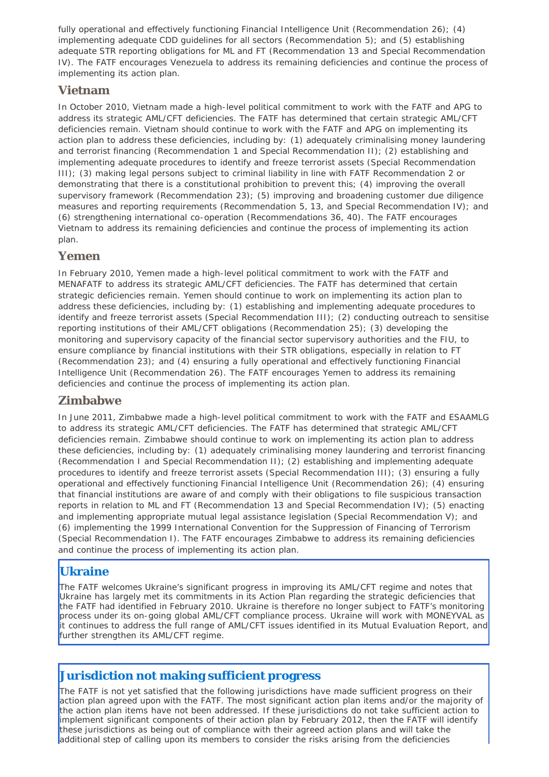fully operational and effectively functioning Financial Intelligence Unit (Recommendation 26); (4) implementing adequate CDD guidelines for all sectors (Recommendation 5); and (5) establishing adequate STR reporting obligations for ML and FT (Recommendation 13 and Special Recommendation IV). The FATF encourages Venezuela to address its remaining deficiencies and continue the process of implementing its action plan.

## **Vietnam**

In October 2010, Vietnam made a high-level political commitment to work with the FATF and APG to address its strategic AML/CFT deficiencies. The FATF has determined that certain strategic AML/CFT deficiencies remain. Vietnam should continue to work with the FATF and APG on implementing its action plan to address these deficiencies, including by: (1) adequately criminalising money laundering and terrorist financing (Recommendation 1 and Special Recommendation II); (2) establishing and implementing adequate procedures to identify and freeze terrorist assets (Special Recommendation III); (3) making legal persons subject to criminal liability in line with FATF Recommendation 2 or demonstrating that there is a constitutional prohibition to prevent this; (4) improving the overall supervisory framework (Recommendation 23); (5) improving and broadening customer due diligence measures and reporting requirements (Recommendation 5, 13, and Special Recommendation IV); and (6) strengthening international co-operation (Recommendations 36, 40). The FATF encourages Vietnam to address its remaining deficiencies and continue the process of implementing its action plan.

#### **Yemen**

In February 2010, Yemen made a high-level political commitment to work with the FATF and MENAFATF to address its strategic AML/CFT deficiencies. The FATF has determined that certain strategic deficiencies remain. Yemen should continue to work on implementing its action plan to address these deficiencies, including by: (1) establishing and implementing adequate procedures to identify and freeze terrorist assets (Special Recommendation III); (2) conducting outreach to sensitise reporting institutions of their AML/CFT obligations (Recommendation 25); (3) developing the monitoring and supervisory capacity of the financial sector supervisory authorities and the FIU, to ensure compliance by financial institutions with their STR obligations, especially in relation to FT (Recommendation 23); and (4) ensuring a fully operational and effectively functioning Financial Intelligence Unit (Recommendation 26). The FATF encourages Yemen to address its remaining deficiencies and continue the process of implementing its action plan.

#### **Zimbabwe**

In June 2011, Zimbabwe made a high-level political commitment to work with the FATF and ESAAMLG to address its strategic AML/CFT deficiencies. The FATF has determined that strategic AML/CFT deficiencies remain. Zimbabwe should continue to work on implementing its action plan to address these deficiencies, including by: (1) adequately criminalising money laundering and terrorist financing (Recommendation I and Special Recommendation II); (2) establishing and implementing adequate procedures to identify and freeze terrorist assets (Special Recommendation III); (3) ensuring a fully operational and effectively functioning Financial Intelligence Unit (Recommendation 26); (4) ensuring that financial institutions are aware of and comply with their obligations to file suspicious transaction reports in relation to ML and FT (Recommendation 13 and Special Recommendation IV); (5) enacting and implementing appropriate mutual legal assistance legislation (Special Recommendation V); and (6) implementing the 1999 International Convention for the Suppression of Financing of Terrorism (Special Recommendation I). The FATF encourages Zimbabwe to address its remaining deficiencies and continue the process of implementing its action plan.

## **Ukraine**

The FATF welcomes Ukraine's significant progress in improving its AML/CFT regime and notes that Ukraine has largely met its commitments in its Action Plan regarding the strategic deficiencies that the FATF had identified in February 2010. Ukraine is therefore no longer subject to FATF's monitoring process under its on-going global AML/CFT compliance process. Ukraine will work with MONEYVAL as it continues to address the full range of AML/CFT issues identified in its Mutual Evaluation Report, and further strengthen its AML/CFT regime.

## **Jurisdiction not making sufficient progress**

The FATF is not yet satisfied that the following jurisdictions have made sufficient progress on their action plan agreed upon with the FATF. The most significant action plan items and/or the majority of the action plan items have not been addressed. If these jurisdictions do not take sufficient action to implement significant components of their action plan by February 2012, then the FATF will identify these jurisdictions as being out of compliance with their agreed action plans and will take the additional step of calling upon its members to consider the risks arising from the deficiencies